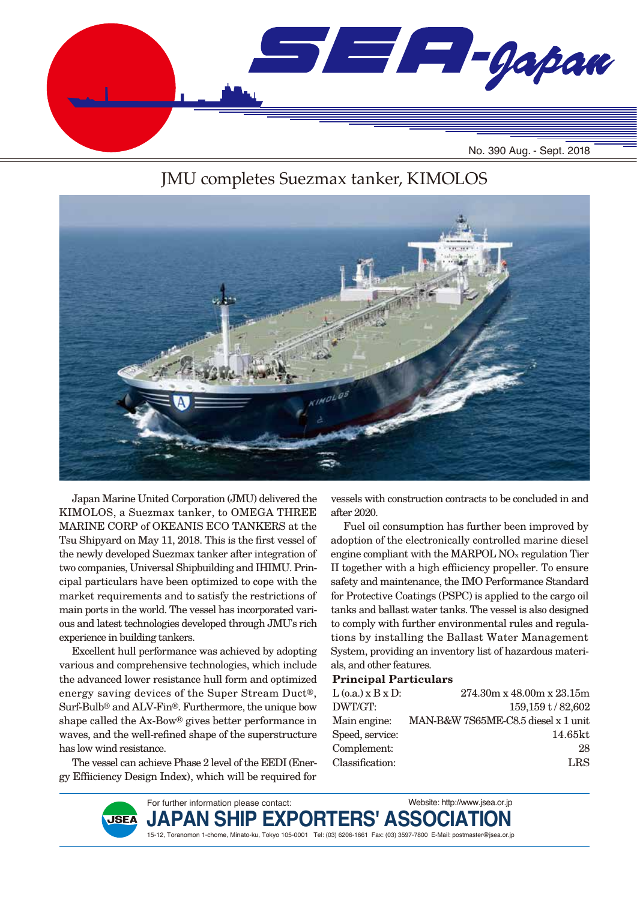

## JMU completes Suezmax tanker, KIMOLOS



Japan Marine United Corporation (JMU) delivered the KIMOLOS, a Suezmax tanker, to OMEGA THREE MARINE CORP of OKEANIS ECO TANKERS at the Tsu Shipyard on May 11, 2018. This is the first vessel of the newly developed Suezmax tanker after integration of two companies, Universal Shipbuilding and IHIMU. Principal particulars have been optimized to cope with the market requirements and to satisfy the restrictions of main ports in the world. The vessel has incorporated various and latest technologies developed through JMU's rich experience in building tankers.

Excellent hull performance was achieved by adopting various and comprehensive technologies, which include the advanced lower resistance hull form and optimized energy saving devices of the Super Stream Duct®, Surf-Bulb® and ALV-Fin®. Furthermore, the unique bow shape called the Ax-Bow® gives better performance in waves, and the well-refined shape of the superstructure has low wind resistance.

The vessel can achieve Phase 2 level of the EEDI (Energy Effiiciency Design Index), which will be required for

vessels with construction contracts to be concluded in and after 2020.

Fuel oil consumption has further been improved by adoption of the electronically controlled marine diesel engine compliant with the MARPOL NOx regulation Tier II together with a high efficiency propeller. To ensure safety and maintenance, the IMO Performance Standard for Protective Coatings (PSPC) is applied to the cargo oil tanks and ballast water tanks. The vessel is also designed to comply with further environmental rules and regulations by installing the Ballast Water Management System, providing an inventory list of hazardous materials, and other features.

### **Principal Particulars**

| $L$ (0.a.) x B x D: | $274.30m \times 48.00m \times 23.15m$ |
|---------------------|---------------------------------------|
| DWT/GT:             | 159,159 t/82,602                      |
| Main engine:        | MAN-B&W 7S65ME-C8.5 diesel x 1 unit   |
| Speed, service:     | 14.65kt                               |
| Complement:         | 28                                    |
| Classification:     | <b>LRS</b>                            |
|                     |                                       |

Website: http://www.jsea.or.jp



15-12, Toranomon 1-chome, Minato-ku, Tokyo 105-0001 Tel: (03) 6206-1661 Fax: (03) 3597-7800 E-Mail: postmaster@jsea.or.jp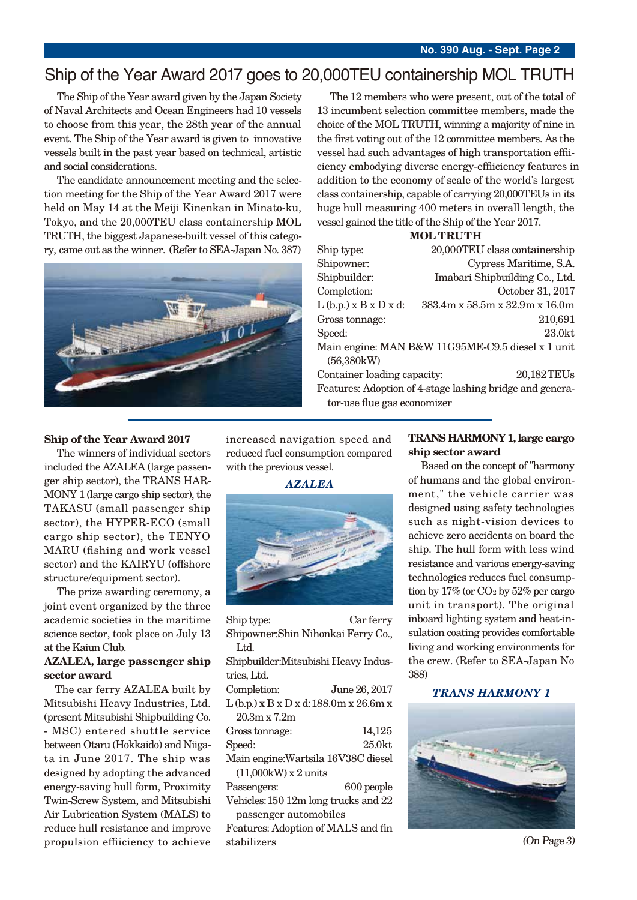## Ship of the Year Award 2017 goes to 20,000TEU containership MOL TRUTH

The Ship of the Year award given by the Japan Society of Naval Architects and Ocean Engineers had 10 vessels to choose from this year, the 28th year of the annual event. The Ship of the Year award is given to innovative vessels built in the past year based on technical, artistic and social considerations.

The candidate announcement meeting and the selection meeting for the Ship of the Year Award 2017 were held on May 14 at the Meiji Kinenkan in Minato-ku, Tokyo, and the 20,000TEU class containership MOL TRUTH, the biggest Japanese-built vessel of this category, came out as the winner. (Refer to SEA-Japan No. 387)



The 12 members who were present, out of the total of 13 incumbent selection committee members, made the choice of the MOL TRUTH, winning a majority of nine in the first voting out of the 12 committee members. As the vessel had such advantages of high transportation effiiciency embodying diverse energy-efficiency features in addition to the economy of scale of the world's largest class containership, capable of carrying 20,000TEUs in its huge hull measuring 400 meters in overall length, the vessel gained the title of the Ship of the Year 2017.

#### **MOL TRUTH**

| Ship type:                                               | 20,000TEU class containership                     |  |
|----------------------------------------------------------|---------------------------------------------------|--|
| Shipowner:                                               | Cypress Maritime, S.A.                            |  |
| Shipbuilder:                                             | Imabari Shipbuilding Co., Ltd.                    |  |
| Completion:                                              | October 31, 2017                                  |  |
| $L(b.p.)$ x $B x D x d$ :                                | $383.4$ m x 58.5m x 32.9m x 16.0m                 |  |
| Gross tonnage:                                           | 210,691                                           |  |
| Speed:                                                   | 23.0kt                                            |  |
|                                                          | Main engine: MAN B&W 11G95ME-C9.5 diesel x 1 unit |  |
| (56,380kW)                                               |                                                   |  |
| Container loading capacity:                              | 20,182TEUs                                        |  |
| Features: Adoption of 4-stage lashing bridge and genera- |                                                   |  |
| tor-use flue gas economizer                              |                                                   |  |

#### **Ship of the Year Award 2017**

The winners of individual sectors included the AZALEA (large passenger ship sector), the TRANS HAR-MONY 1 (large cargo ship sector), the TAKASU (small passenger ship sector), the HYPER-ECO (small cargo ship sector), the TENYO MARU (fishing and work vessel sector) and the KAIRYU (offshore structure/equipment sector).

The prize awarding ceremony, a joint event organized by the three academic societies in the maritime science sector, took place on July 13 at the Kaiun Club.

### **AZALEA, large passenger ship sector award**

The car ferry AZALEA built by Mitsubishi Heavy Industries, Ltd. (present Mitsubishi Shipbuilding Co. - MSC) entered shuttle service between Otaru (Hokkaido) and Niigata in June 2017. The ship was designed by adopting the advanced energy-saving hull form, Proximity Twin-Screw System, and Mitsubishi Air Lubrication System (MALS) to reduce hull resistance and improve propulsion efficiency to achieve

increased navigation speed and reduced fuel consumption compared with the previous vessel.

*AZALEA*



| Ship type:                                | Car ferry     |  |
|-------------------------------------------|---------------|--|
| Shipowner: Shin Nihonkai Ferry Co.,       |               |  |
| ht I                                      |               |  |
| Shipbuilder: Mitsubishi Heavy Indus-      |               |  |
| tries, Ltd.                               |               |  |
| Completion:                               | June 26, 2017 |  |
| $L(b.p.) x B x D x d: 188.0 m x 26.6 m x$ |               |  |
| $20.3m \times 7.2m$                       |               |  |
| Gross tonnage:                            | 14,125        |  |
| Speed:                                    | $25.0$ kt     |  |
| Main engine: Wartsila 16V38C diesel       |               |  |
| $(11,000kW)$ x 2 units                    |               |  |
| Passengers:                               | 600 people    |  |
| Vehicles: 150 12m long trucks and 22      |               |  |
| passenger automobiles                     |               |  |
| Features: Adoption of MALS and fin        |               |  |

stabilizers

### **TRANS HARMONY 1, large cargo ship sector award**

Based on the concept of "harmony of humans and the global environment," the vehicle carrier was designed using safety technologies such as night-vision devices to achieve zero accidents on board the ship. The hull form with less wind resistance and various energy-saving technologies reduces fuel consumption by  $17\%$  (or  $CO<sub>2</sub>$  by  $52\%$  per cargo unit in transport). The original inboard lighting system and heat-insulation coating provides comfortable living and working environments for the crew. (Refer to SEA-Japan No 388)

### *TRANS HARMONY 1*



(On Page 3)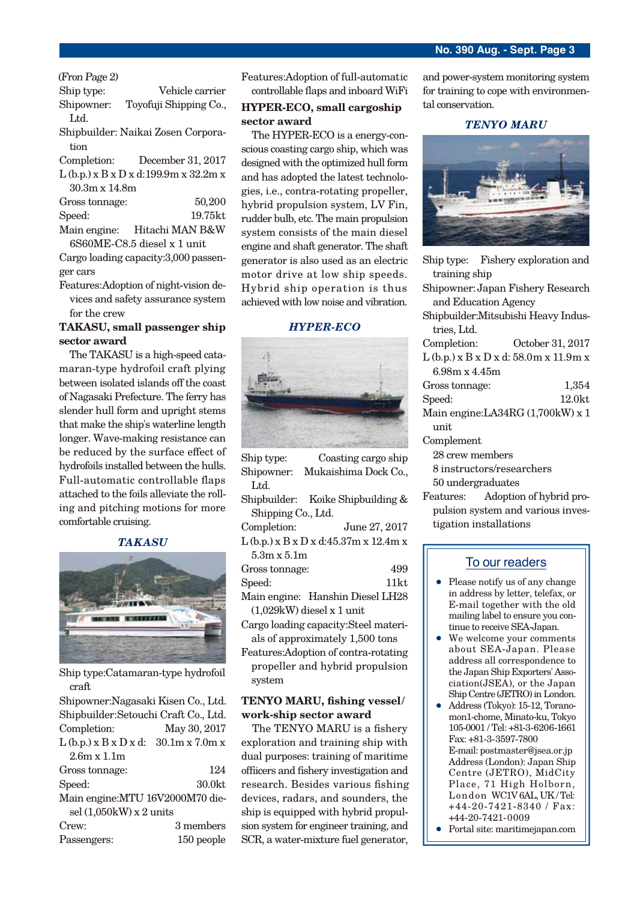### **No. 390 Aug. - Sept. Page 3**

### (Fron Page 2)

| Vehicle carrier        |
|------------------------|
| Toyofuji Shipping Co., |
|                        |
|                        |

Shipbuilder: Naikai Zosen Corporation

Completion: December 31, 2017 L (b.p.) x B x D x d:199.9m x 32.2m x 30.3m x 14.8m

| Gross tonnage:              | 50,200          |  |
|-----------------------------|-----------------|--|
| Speed:                      | 19.75kt         |  |
| Main engine:                | Hitachi MAN B&W |  |
| 6S60ME-C8.5 diesel x 1 unit |                 |  |

Cargo loading capacity: 3,000 passenger cars

Features:Adoption of night-vision devices and safety assurance system for the crew

### **TAKASU, small passenger ship sector award**

The TAKASU is a high-speed catamaran-type hydrofoil craft plying between isolated islands off the coast of Nagasaki Prefecture. The ferry has slender hull form and upright stems that make the ship's waterline length longer. Wave-making resistance can be reduced by the surface effect of hydrofoils installed between the hulls. Full-automatic controllable flaps attached to the foils alleviate the rolling and pitching motions for more comfortable cruising.

### *TAKASU*



Ship type:Catamaran-type hydrofoil craft

Shipowner:Nagasaki Kisen Co., Ltd. Shipbuilder:Setouchi Craft Co., Ltd. Completion: May 30, 2017  $L (b.p.) x B x D x d: 30.1 m x 7.0 m x$ 2.6m x 1.1m Gross tonnage: 124 Speed: 30.0kt Main engine:MTU 16V2000M70 diesel (1,050kW) x 2 units Crew: 3 members

| ULUW.       | o mempers  |
|-------------|------------|
| Passengers: | 150 people |

Features:Adoption of full-automatic controllable flaps and inboard WiFi

#### **HYPER-ECO, small cargoship sector award**

The HYPER-ECO is a energy-conscious coasting cargo ship, which was designed with the optimized hull form and has adopted the latest technologies, i.e., contra-rotating propeller, hybrid propulsion system, LV Fin, rudder bulb, etc. The main propulsion system consists of the main diesel engine and shaft generator. The shaft generator is also used as an electric motor drive at low ship speeds. Hybrid ship operation is thus achieved with low noise and vibration.

### *HYPER-ECO*



- Ship type: Coasting cargo ship Shipowner: Mukaishima Dock Co., Ltd. Shipbuilder: Koike Shipbuilding & Shipping Co., Ltd. Completion: June 27, 2017 L (b.p.) x B x D x d:45.37m x 12.4m x 5.3m x 5.1m Gross tonnage: 499 Speed: 11kt Main engine: Hanshin Diesel LH28 (1,029kW) diesel x 1 unit Cargo loading capacity:Steel materials of approximately 1,500 tons
- Features:Adoption of contra-rotating propeller and hybrid propulsion system

### **TENYO MARU, fishing vessel/ work-ship sector award**

The TENYO MARU is a fishery exploration and training ship with dual purposes: training of maritime officers and fishery investigation and research. Besides various fishing devices, radars, and sounders, the ship is equipped with hybrid propulsion system for engineer training, and SCR, a water-mixture fuel generator,

and power-system monitoring system for training to cope with environmental conservation.

#### *TENYO MARU*



Ship type: Fishery exploration and training ship Shipowner:Japan Fishery Research and Education Agency Shipbuilder:Mitsubishi Heavy Industries, Ltd. Completion: October 31, 2017 L (b.p.) x B x D x d: 58.0m x 11.9m x 6.98m x 4.45m Gross tonnage:  $1,354$ Speed: 12.0kt Main engine:LA34RG (1,700kW) x 1 unit Complement 28 crew members 8 instructors/researchers 50 undergraduates Features: Adoption of hybrid pro-

pulsion system and various investigation installations

### To our readers

- Please notify us of any change in address by letter, telefax, or E-mail together with the old mailing label to ensure you continue to receive SEA-Japan.
- We welcome your comments about SEA-Japan. Please address all correspondence to the Japan Ship Exporters' Association(JSEA), or the Japan Ship Centre (JETRO) in London.
- Address (Tokyo): 15-12, Toranomon1-chome, Minato-ku, Tokyo 105-0001 / Tel: +81-3-6206-1661 Fax: +81-3-3597-7800 E-mail: postmaster@jsea.or.jp Address (London): Japan Ship Centre (JETRO), MidCity Place, 71 High Holborn, London WC1V 6AL, UK / Tel: +44-20-7421-8340 / Fax: +44-20-7421-0009
- Portal site: maritimejapan.com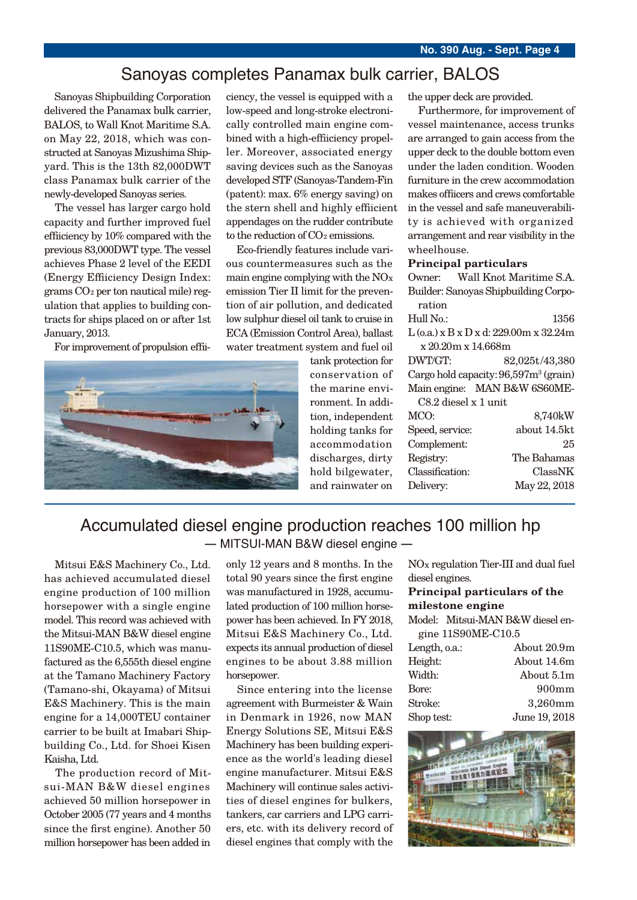## Sanoyas completes Panamax bulk carrier, BALOS

Sanoyas Shipbuilding Corporation delivered the Panamax bulk carrier, BALOS, to Wall Knot Maritime S.A. on May 22, 2018, which was constructed at Sanoyas Mizushima Shipyard. This is the 13th 82,000DWT class Panamax bulk carrier of the newly-developed Sanoyas series.

The vessel has larger cargo hold capacity and further improved fuel efficiency by 10% compared with the previous 83,000DWT type. The vessel achieves Phase 2 level of the EEDI (Energy Effiiciency Design Index: grams CO2 per ton nautical mile) regulation that applies to building contracts for ships placed on or after 1st January, 2013.

For improvement of propulsion effii-



ciency, the vessel is equipped with a low-speed and long-stroke electronically controlled main engine combined with a high-effiiciency propeller. Moreover, associated energy saving devices such as the Sanoyas developed STF (Sanoyas-Tandem-Fin (patent): max. 6% energy saving) on the stern shell and highly efficient appendages on the rudder contribute to the reduction of  $CO<sub>2</sub>$  emissions.

Eco-friendly features include various countermeasures such as the main engine complying with the NOx emission Tier II limit for the prevention of air pollution, and dedicated low sulphur diesel oil tank to cruise in ECA (Emission Control Area), ballast water treatment system and fuel oil

> tank protection for conservation of the marine environment. In addition, independent holding tanks for accommodation discharges, dirty hold bilgewater, and rainwater on

the upper deck are provided.

Furthermore, for improvement of vessel maintenance, access trunks are arranged to gain access from the upper deck to the double bottom even under the laden condition. Wooden furniture in the crew accommodation makes officers and crews comfortable in the vessel and safe maneuverability is achieved with organized arrangement and rear visibility in the wheelhouse.

### **Principal particulars**

| Owner:                                            | Wall Knot Maritime S.A.                |  |
|---------------------------------------------------|----------------------------------------|--|
|                                                   | Builder: Sanoyas Shipbuilding Corpo-   |  |
| ration                                            |                                        |  |
| Hull No.:                                         | 1356                                   |  |
|                                                   | L (o.a.) x B x D x d: 229.00m x 32.24m |  |
| x 20.20m x 14.668m                                |                                        |  |
| DWT/GT:                                           | 82,025t/43,380                         |  |
| Cargo hold capacity: 96,597m <sup>3</sup> (grain) |                                        |  |
|                                                   | Main engine: MAN B&W 6S60ME-           |  |
| C8.2 diesel x 1 unit                              |                                        |  |
| MCO:                                              | 8,740kW                                |  |
| Speed, service:                                   | about 14.5kt                           |  |
| Complement:                                       | 25                                     |  |
| Registry:                                         | The Bahamas                            |  |
| Classification:                                   | ClassNK                                |  |
| Delivery:                                         | May 22, 2018                           |  |
|                                                   |                                        |  |

### Accumulated diesel engine production reaches 100 million hp ---- MITSUI-MAN B&W diesel engine ----

Mitsui E&S Machinery Co., Ltd. has achieved accumulated diesel engine production of 100 million horsepower with a single engine model. This record was achieved with the Mitsui-MAN B&W diesel engine 11S90ME-C10.5, which was manufactured as the 6,555th diesel engine at the Tamano Machinery Factory (Tamano-shi, Okayama) of Mitsui E&S Machinery. This is the main engine for a 14,000TEU container carrier to be built at Imabari Shipbuilding Co., Ltd. for Shoei Kisen Kaisha, Ltd.

The production record of Mitsui-MAN B&W diesel engines achieved 50 million horsepower in October 2005 (77 years and 4 months since the first engine). Another 50 million horsepower has been added in

only 12 years and 8 months. In the total 90 years since the first engine was manufactured in 1928, accumulated production of 100 million horsepower has been achieved. In FY 2018, Mitsui E&S Machinery Co., Ltd. expects its annual production of diesel engines to be about 3.88 million horsepower.

Since entering into the license agreement with Burmeister & Wain in Denmark in 1926, now MAN Energy Solutions SE, Mitsui E&S Machinery has been building experience as the world's leading diesel engine manufacturer. Mitsui E&S Machinery will continue sales activities of diesel engines for bulkers, tankers, car carriers and LPG carriers, etc. with its delivery record of diesel engines that comply with the

NOx regulation Tier-III and dual fuel diesel engines.

### **Principal particulars of the milestone engine**

Model: Mitsui-MAN B&W diesel engine 11S90ME-C10.5

| Length, o.a.: | About 20.9m   |
|---------------|---------------|
| Height:       | About 14.6m   |
| Width:        | About 5.1m    |
| Bore:         | $900$ mm      |
| Stroke:       | 3,260mm       |
| Shop test:    | June 19, 2018 |

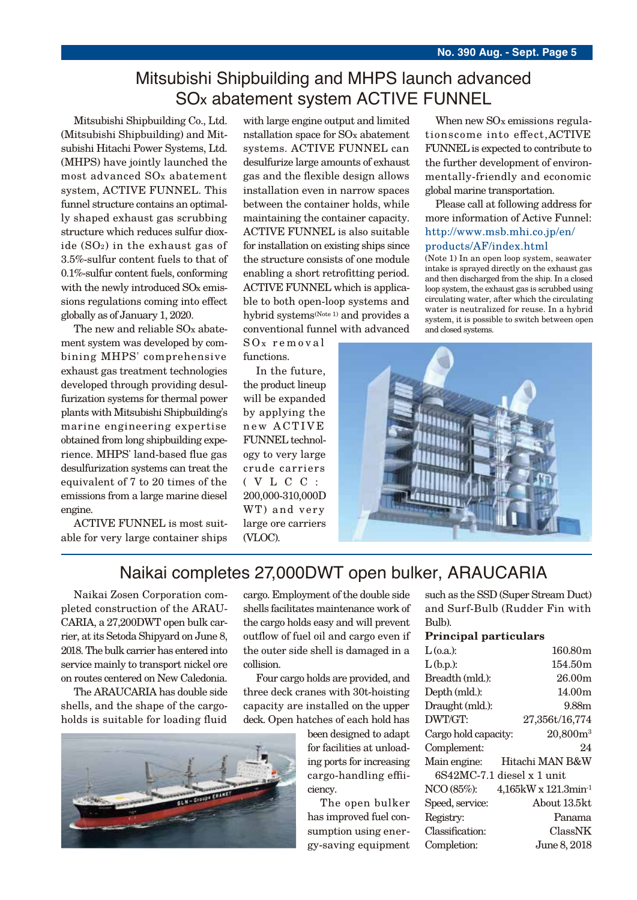## Mitsubishi Shipbuilding and MHPS launch advanced SOx abatement system ACTIVE FUNNEL

Mitsubishi Shipbuilding Co., Ltd. (Mitsubishi Shipbuilding) and Mitsubishi Hitachi Power Systems, Ltd. (MHPS) have jointly launched the most advanced SOx abatement system, ACTIVE FUNNEL. This funnel structure contains an optimally shaped exhaust gas scrubbing structure which reduces sulfur dioxide (SO2) in the exhaust gas of 3.5%-sulfur content fuels to that of 0.1%-sulfur content fuels, conforming with the newly introduced SOx emissions regulations coming into effect globally as of January 1, 2020.

The new and reliable SOx abatement system was developed by combining MHPS' comprehensive exhaust gas treatment technologies developed through providing desulfurization systems for thermal power plants with Mitsubishi Shipbuilding's marine engineering expertise obtained from long shipbuilding experience. MHPS' land-based flue gas desulfurization systems can treat the equivalent of 7 to 20 times of the emissions from a large marine diesel engine.

ACTIVE FUNNEL is most suitable for very large container ships

with large engine output and limited nstallation space for SOx abatement systems. ACTIVE FUNNEL can desulfurize large amounts of exhaust gas and the flexible design allows installation even in narrow spaces between the container holds, while maintaining the container capacity. ACTIVE FUNNEL is also suitable for installation on existing ships since the structure consists of one module enabling a short retrofitting period. ACTIVE FUNNEL which is applicable to both open-loop systems and hybrid systems<sup>(Note 1)</sup> and provides a conventional funnel with advanced

S Ox removal functions.

In the future, the product lineup will be expanded by applying the new ACTIVE FUNNEL technology to very large crude carriers (VLCC: 200,000-310,000D WT) and very large ore carriers  $(VI.OC)$ .

When new SO<sub>x</sub> emissions regulationscome into effect, ACTIVE FUNNEL is expected to contribute to the further development of environmentally-friendly and economic global marine transportation.

Please call at following address for more information of Active Funnel: [http://www.msb.mhi.co.jp/en/](http://www.msb.mhi.co.jp/en/products/AF/index.html) products/AF/index.html

(Note 1) In an open loop system, seawater intake is sprayed directly on the exhaust gas and then discharged from the ship. In a closed loop system, the exhaust gas is scrubbed using circulating water, after which the circulating water is neutralized for reuse. In a hybrid system, it is possible to switch between open and closed systems.



## Naikai completes 27,000DWT open bulker, ARAUCARIA

Naikai Zosen Corporation completed construction of the ARAU-CARIA, a 27,200DWT open bulk carrier, at its Setoda Shipyard on June 8, 2018. The bulk carrier has entered into service mainly to transport nickel ore on routes centered on New Caledonia.

The ARAUCARIA has double side shells, and the shape of the cargoholds is suitable for loading fluid



cargo. Employment of the double side shells facilitates maintenance work of the cargo holds easy and will prevent outflow of fuel oil and cargo even if the outer side shell is damaged in a collision.

Four cargo holds are provided, and three deck cranes with 30t-hoisting capacity are installed on the upper deck. Open hatches of each hold has

> been designed to adapt for facilities at unloading ports for increasing cargo-handling effiiciency.

The open bulker has improved fuel consumption using energy-saving equipment such as the SSD (Super Stream Duct) and Surf-Bulb (Rudder Fin with Bulb).

#### **Principal particulars**

| $L$ (o.a.):                | 160.80m                          |
|----------------------------|----------------------------------|
| $L$ (b.p.):                | 154.50m                          |
| Breadth (mld.):            | 26.00m                           |
| Depth (mld.):              | 14.00m                           |
| Draught (mld.):            | 9.88m                            |
| DWT/GT:                    | 27,356t/16,774                   |
| Cargo hold capacity:       | $20,800m^3$                      |
| Complement:                | 24                               |
| Main engine:               | Hitachi MAN B&W                  |
| 6S42MC-7.1 diesel x 1 unit |                                  |
| NCO (85%):                 | 4,165kW x 121.3min <sup>-1</sup> |
| Speed, service:            | About 13.5kt                     |
| Registry:                  | Panama                           |
| Classification:            | ClassNK                          |
| Completion:                | June 8, 2018                     |